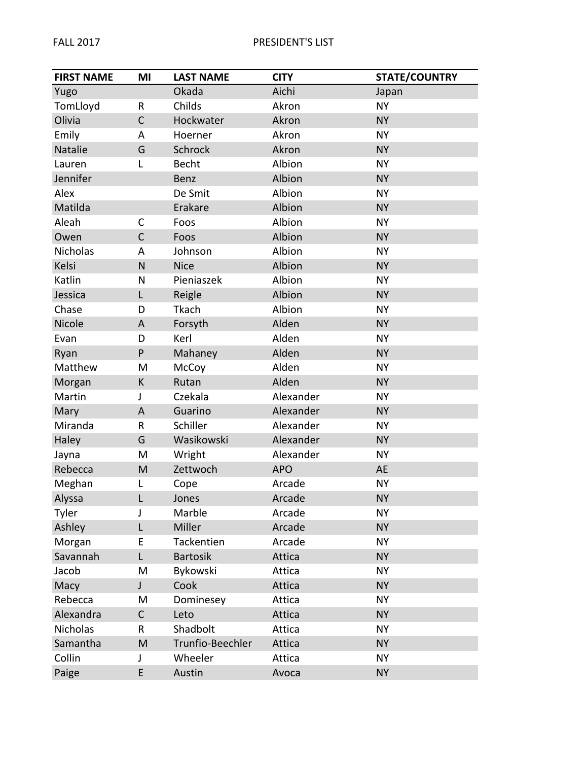| <b>FIRST NAME</b> | MI           | <b>LAST NAME</b> | <b>CITY</b> | <b>STATE/COUNTRY</b> |
|-------------------|--------------|------------------|-------------|----------------------|
| Yugo              |              | Okada            | Aichi       | Japan                |
| TomLloyd          | R            | Childs           | Akron       | <b>NY</b>            |
| Olivia            | $\mathsf{C}$ | Hockwater        | Akron       | <b>NY</b>            |
| Emily             | A            | Hoerner          | Akron       | <b>NY</b>            |
| Natalie           | G            | Schrock          | Akron       | <b>NY</b>            |
| Lauren            | L            | <b>Becht</b>     | Albion      | <b>NY</b>            |
| Jennifer          |              | <b>Benz</b>      | Albion      | <b>NY</b>            |
| Alex              |              | De Smit          | Albion      | <b>NY</b>            |
| Matilda           |              | Erakare          | Albion      | <b>NY</b>            |
| Aleah             | $\mathsf{C}$ | Foos             | Albion      | <b>NY</b>            |
| Owen              | $\mathsf{C}$ | Foos             | Albion      | <b>NY</b>            |
| Nicholas          | A            | Johnson          | Albion      | <b>NY</b>            |
| Kelsi             | ${\sf N}$    | <b>Nice</b>      | Albion      | <b>NY</b>            |
| Katlin            | N            | Pieniaszek       | Albion      | <b>NY</b>            |
| Jessica           | L            | Reigle           | Albion      | <b>NY</b>            |
| Chase             | D            | Tkach            | Albion      | <b>NY</b>            |
| Nicole            | A            | Forsyth          | Alden       | <b>NY</b>            |
| Evan              | D            | Kerl             | Alden       | <b>NY</b>            |
| Ryan              | P            | Mahaney          | Alden       | <b>NY</b>            |
| Matthew           | M            | McCoy            | Alden       | <b>NY</b>            |
| Morgan            | K            | Rutan            | Alden       | <b>NY</b>            |
| Martin            | J            | Czekala          | Alexander   | <b>NY</b>            |
| Mary              | A            | Guarino          | Alexander   | <b>NY</b>            |
| Miranda           | R            | Schiller         | Alexander   | <b>NY</b>            |
| Haley             | G            | Wasikowski       | Alexander   | <b>NY</b>            |
| Jayna             | M            | Wright           | Alexander   | <b>NY</b>            |
| Rebecca           | M            | Zettwoch         | <b>APO</b>  | AE                   |
| Meghan            | Г            | Cope             | Arcade      | <b>NY</b>            |
| Alyssa            | L            | Jones            | Arcade      | <b>NY</b>            |
| Tyler             | J            | Marble           | Arcade      | <b>NY</b>            |
| Ashley            | L            | Miller           | Arcade      | <b>NY</b>            |
| Morgan            | E            | Tackentien       | Arcade      | <b>NY</b>            |
| Savannah          | L            | <b>Bartosik</b>  | Attica      | <b>NY</b>            |
| Jacob             | M            | Bykowski         | Attica      | <b>NY</b>            |
| Macy              | $\mathsf{L}$ | Cook             | Attica      | <b>NY</b>            |
| Rebecca           | M            | Dominesey        | Attica      | <b>NY</b>            |
| Alexandra         | $\mathsf C$  | Leto             | Attica      | <b>NY</b>            |
| Nicholas          | R            | Shadbolt         | Attica      | <b>NY</b>            |
| Samantha          | M            | Trunfio-Beechler | Attica      | <b>NY</b>            |
| Collin            | J            | Wheeler          | Attica      | <b>NY</b>            |
| Paige             | E            | Austin           | Avoca       | <b>NY</b>            |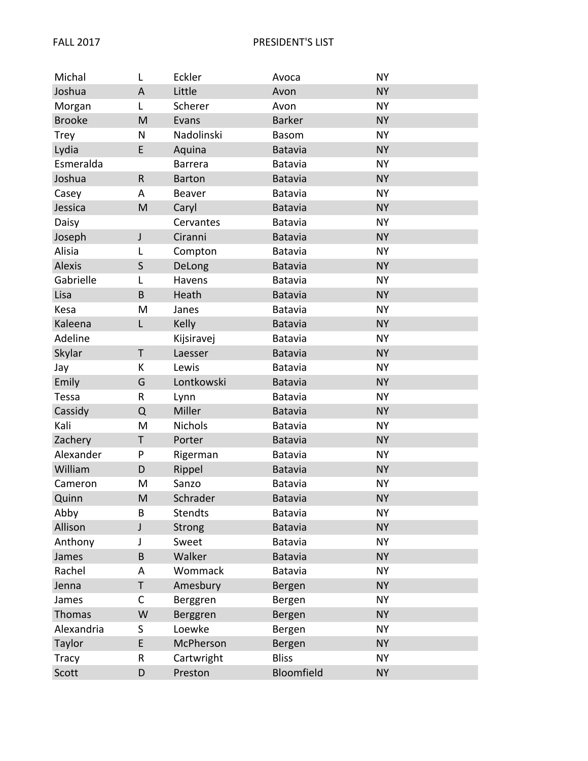| Michal        | L       | Eckler         | Avoca          | <b>NY</b> |
|---------------|---------|----------------|----------------|-----------|
| Joshua        | $\sf A$ | Little         | Avon           | <b>NY</b> |
| Morgan        | Г       | Scherer        | Avon           | <b>NY</b> |
| <b>Brooke</b> | M       | Evans          | <b>Barker</b>  | <b>NY</b> |
| <b>Trey</b>   | N       | Nadolinski     | <b>Basom</b>   | <b>NY</b> |
| Lydia         | E       | Aquina         | Batavia        | <b>NY</b> |
| Esmeralda     |         | <b>Barrera</b> | <b>Batavia</b> | <b>NY</b> |
| Joshua        | $\sf R$ | <b>Barton</b>  | <b>Batavia</b> | <b>NY</b> |
| Casey         | A       | Beaver         | Batavia        | <b>NY</b> |
| Jessica       | M       | Caryl          | Batavia        | <b>NY</b> |
| Daisy         |         | Cervantes      | <b>Batavia</b> | <b>NY</b> |
| Joseph        | J       | Ciranni        | <b>Batavia</b> | <b>NY</b> |
| Alisia        | L       | Compton        | <b>Batavia</b> | <b>NY</b> |
| Alexis        | $\sf S$ | DeLong         | <b>Batavia</b> | <b>NY</b> |
| Gabrielle     | L       | Havens         | <b>Batavia</b> | <b>NY</b> |
| Lisa          | B       | Heath          | <b>Batavia</b> | <b>NY</b> |
| Kesa          | M       | Janes          | Batavia        | <b>NY</b> |
| Kaleena       | L       | Kelly          | <b>Batavia</b> | <b>NY</b> |
| Adeline       |         | Kijsiravej     | Batavia        | <b>NY</b> |
| Skylar        | T       | Laesser        | <b>Batavia</b> | <b>NY</b> |
| Jay           | K       | Lewis          | Batavia        | <b>NY</b> |
| Emily         | G       | Lontkowski     | Batavia        | <b>NY</b> |
| Tessa         | R       | Lynn           | Batavia        | <b>NY</b> |
| Cassidy       | Q       | Miller         | <b>Batavia</b> | <b>NY</b> |
| Kali          | M       | <b>Nichols</b> | Batavia        | <b>NY</b> |
| Zachery       | Τ       | Porter         | Batavia        | <b>NY</b> |
| Alexander     | P       | Rigerman       | Batavia        | <b>NY</b> |
| William       | D       | Rippel         | <b>Batavia</b> | <b>NY</b> |
| Cameron       | M       | Sanzo          | Batavia        | <b>NY</b> |
| Quinn         | M       | Schrader       | <b>Batavia</b> | <b>NY</b> |
| Abby          | B       | <b>Stendts</b> | Batavia        | NΥ        |
| Allison       | J       | <b>Strong</b>  | Batavia        | <b>NY</b> |
| Anthony       | J       | Sweet          | Batavia        | NΥ        |
| James         | B       | Walker         | Batavia        | <b>NY</b> |
| Rachel        | A       | Wommack        | Batavia        | NΥ        |
| Jenna         | T       | Amesbury       | Bergen         | <b>NY</b> |
| James         | С       | Berggren       | Bergen         | <b>NY</b> |
| Thomas        | W       | Berggren       | Bergen         | <b>NY</b> |
| Alexandria    | S       | Loewke         | Bergen         | NΥ        |
| Taylor        | E       | McPherson      | Bergen         | <b>NY</b> |
| <b>Tracy</b>  | R       | Cartwright     | <b>Bliss</b>   | <b>NY</b> |
| Scott         | D       | Preston        | Bloomfield     | <b>NY</b> |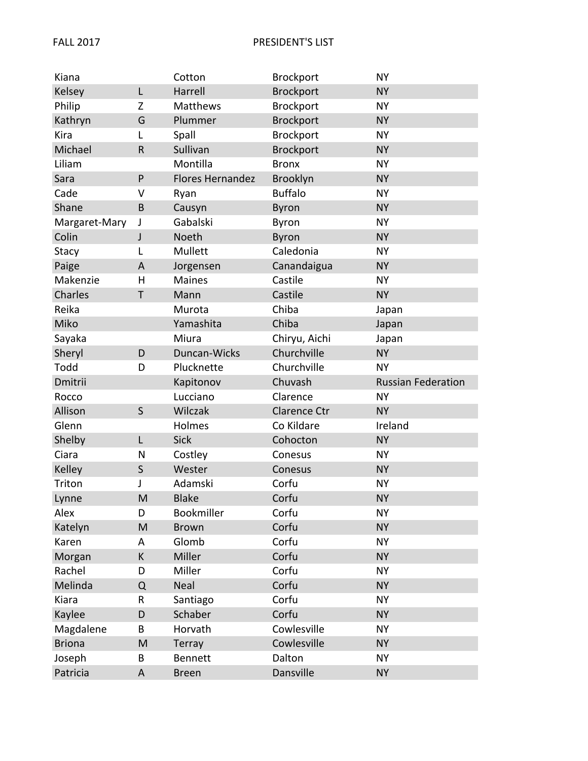| Kiana         |              | Cotton                  | <b>Brockport</b> | <b>NY</b>                 |
|---------------|--------------|-------------------------|------------------|---------------------------|
| Kelsey        | L            | Harrell                 | <b>Brockport</b> | <b>NY</b>                 |
| Philip        | Z            | <b>Matthews</b>         | Brockport        | <b>NY</b>                 |
| Kathryn       | G            | Plummer                 | Brockport        | <b>NY</b>                 |
| Kira          | L            | Spall                   | Brockport        | <b>NY</b>                 |
| Michael       | $\mathsf{R}$ | Sullivan                | Brockport        | <b>NY</b>                 |
| Liliam        |              | Montilla                | <b>Bronx</b>     | <b>NY</b>                 |
| Sara          | P            | <b>Flores Hernandez</b> | Brooklyn         | <b>NY</b>                 |
| Cade          | V            | Ryan                    | <b>Buffalo</b>   | <b>NY</b>                 |
| Shane         | B            | Causyn                  | Byron            | <b>NY</b>                 |
| Margaret-Mary | J            | Gabalski                | Byron            | <b>NY</b>                 |
| Colin         | J            | Noeth                   | <b>Byron</b>     | <b>NY</b>                 |
| Stacy         | L            | Mullett                 | Caledonia        | <b>NY</b>                 |
| Paige         | A            | Jorgensen               | Canandaigua      | <b>NY</b>                 |
| Makenzie      | H            | <b>Maines</b>           | Castile          | <b>NY</b>                 |
| Charles       | T            | Mann                    | Castile          | <b>NY</b>                 |
| Reika         |              | Murota                  | Chiba            | Japan                     |
| Miko          |              | Yamashita               | Chiba            | Japan                     |
| Sayaka        |              | Miura                   | Chiryu, Aichi    | Japan                     |
| Sheryl        | D            | Duncan-Wicks            | Churchville      | <b>NY</b>                 |
| Todd          | D            | Plucknette              | Churchville      | <b>NY</b>                 |
| Dmitrii       |              | Kapitonov               | Chuvash          | <b>Russian Federation</b> |
| Rocco         |              | Lucciano                | Clarence         | <b>NY</b>                 |
| Allison       | S            | Wilczak                 | Clarence Ctr     | <b>NY</b>                 |
| Glenn         |              | Holmes                  | Co Kildare       | Ireland                   |
| Shelby        | L            | Sick                    | Cohocton         | <b>NY</b>                 |
| Ciara         | N            | Costley                 | Conesus          | <b>NY</b>                 |
| Kelley        | S            | Wester                  | Conesus          | <b>NY</b>                 |
| Triton        | J            | Adamski                 | Corfu            | <b>NY</b>                 |
| Lynne         | M            | <b>Blake</b>            | Corfu            | <b>NY</b>                 |
| Alex          | D            | Bookmiller              | Corfu            | <b>NY</b>                 |
| Katelyn       | M            | <b>Brown</b>            | Corfu            | <b>NY</b>                 |
| Karen         | A            | Glomb                   | Corfu            | <b>NY</b>                 |
| Morgan        | K            | Miller                  | Corfu            | <b>NY</b>                 |
| Rachel        | D            | Miller                  | Corfu            | <b>NY</b>                 |
| Melinda       | Q            | Neal                    | Corfu            | <b>NY</b>                 |
| Kiara         | R            | Santiago                | Corfu            | <b>NY</b>                 |
| Kaylee        | D            | Schaber                 | Corfu            | <b>NY</b>                 |
| Magdalene     | В            | Horvath                 | Cowlesville      | <b>NY</b>                 |
| <b>Briona</b> | M            | Terray                  | Cowlesville      | <b>NY</b>                 |
| Joseph        | B            | <b>Bennett</b>          | Dalton           | <b>NY</b>                 |
| Patricia      | $\sf A$      | <b>Breen</b>            | Dansville        | <b>NY</b>                 |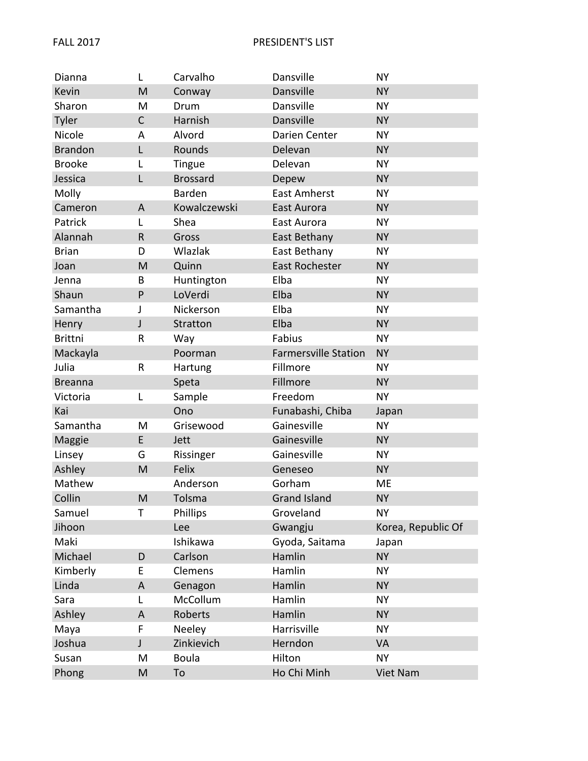| Dianna         | L           | Carvalho        | Dansville                   | <b>NY</b>          |
|----------------|-------------|-----------------|-----------------------------|--------------------|
| Kevin          | M           | Conway          | Dansville                   | <b>NY</b>          |
| Sharon         | M           | Drum            | Dansville                   | <b>NY</b>          |
| Tyler          | C           | Harnish         | Dansville                   | <b>NY</b>          |
| Nicole         | Α           | Alvord          | Darien Center               | <b>NY</b>          |
| <b>Brandon</b> | L           | Rounds          | Delevan                     | <b>NY</b>          |
| <b>Brooke</b>  | L           | Tingue          | Delevan                     | <b>NY</b>          |
| Jessica        | L           | <b>Brossard</b> | Depew                       | <b>NY</b>          |
| Molly          |             | Barden          | <b>East Amherst</b>         | <b>NY</b>          |
| Cameron        | A           | Kowalczewski    | East Aurora                 | <b>NY</b>          |
| Patrick        | L           | Shea            | East Aurora                 | <b>NY</b>          |
| Alannah        | $\mathsf R$ | Gross           | East Bethany                | <b>NY</b>          |
| <b>Brian</b>   | D           | Wlazlak         | East Bethany                | <b>NY</b>          |
| Joan           | M           | Quinn           | East Rochester              | <b>NY</b>          |
| Jenna          | B           | Huntington      | Elba                        | <b>NY</b>          |
| Shaun          | P           | LoVerdi         | Elba                        | <b>NY</b>          |
| Samantha       | J           | Nickerson       | Elba                        | <b>NY</b>          |
| Henry          | J           | Stratton        | Elba                        | <b>NY</b>          |
| <b>Brittni</b> | R           | Way             | Fabius                      | <b>NY</b>          |
| Mackayla       |             | Poorman         | <b>Farmersville Station</b> | <b>NY</b>          |
| Julia          | R           | Hartung         | Fillmore                    | NY.                |
| <b>Breanna</b> |             | Speta           | Fillmore                    | <b>NY</b>          |
| Victoria       | L           | Sample          | Freedom                     | <b>NY</b>          |
| Kai            |             | Ono             | Funabashi, Chiba            | Japan              |
| Samantha       | M           | Grisewood       | Gainesville                 | <b>NY</b>          |
| Maggie         | E           | Jett            | Gainesville                 | <b>NY</b>          |
| Linsey         | G           | Rissinger       | Gainesville                 | <b>NY</b>          |
| Ashley         | M           | Felix           | Geneseo                     | <b>NY</b>          |
| Mathew         |             | Anderson        | Gorham                      | ME                 |
| Collin         | M           | Tolsma          | <b>Grand Island</b>         | <b>NY</b>          |
| Samuel         | Τ           | Phillips        | Groveland                   | <b>NY</b>          |
| Jihoon         |             | Lee             | Gwangju                     | Korea, Republic Of |
| Maki           |             | Ishikawa        | Gyoda, Saitama              | Japan              |
| Michael        | D           | Carlson         | Hamlin                      | <b>NY</b>          |
| Kimberly       | Е           | Clemens         | Hamlin                      | <b>NY</b>          |
| Linda          | A           | Genagon         | Hamlin                      | <b>NY</b>          |
| Sara           | L           | McCollum        | Hamlin                      | <b>NY</b>          |
| Ashley         | A           | Roberts         | Hamlin                      | <b>NY</b>          |
| Maya           | F           | Neeley          | Harrisville                 | <b>NY</b>          |
| Joshua         | J           | Zinkievich      | Herndon                     | <b>VA</b>          |
| Susan          | Μ           | <b>Boula</b>    | Hilton                      | <b>NY</b>          |
| Phong          | M           | To              | Ho Chi Minh                 | Viet Nam           |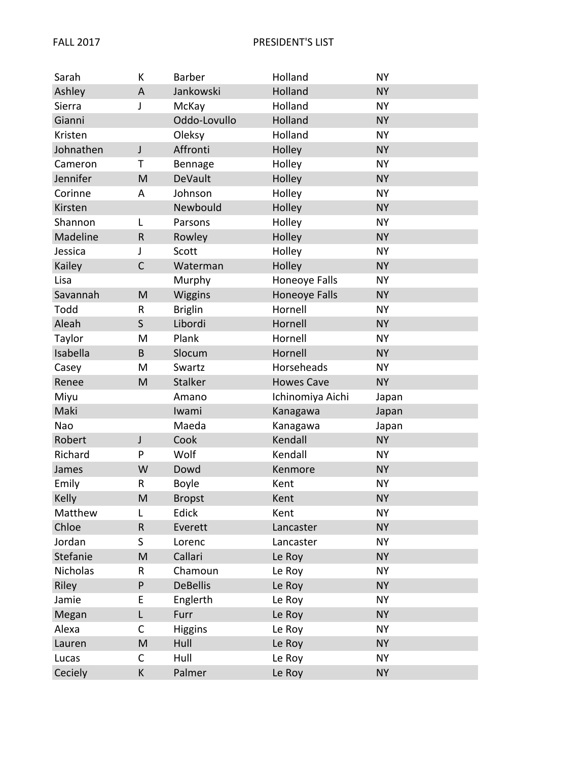| Sarah     | К            | Barber          | Holland              | <b>NY</b> |
|-----------|--------------|-----------------|----------------------|-----------|
| Ashley    | A            | Jankowski       | Holland              | <b>NY</b> |
| Sierra    | J            | McKay           | Holland              | <b>NY</b> |
| Gianni    |              | Oddo-Lovullo    | Holland              | <b>NY</b> |
| Kristen   |              | Oleksy          | Holland              | <b>NY</b> |
| Johnathen | $\mathsf J$  | Affronti        | Holley               | <b>NY</b> |
| Cameron   | т            | Bennage         | Holley               | <b>NY</b> |
| Jennifer  | M            | DeVault         | Holley               | <b>NY</b> |
| Corinne   | A            | Johnson         | Holley               | <b>NY</b> |
| Kirsten   |              | Newbould        | Holley               | <b>NY</b> |
| Shannon   | L            | Parsons         | Holley               | <b>NY</b> |
| Madeline  | $\mathsf R$  | Rowley          | Holley               | <b>NY</b> |
| Jessica   | J            | Scott           | Holley               | <b>NY</b> |
| Kailey    | $\mathsf{C}$ | Waterman        | Holley               | <b>NY</b> |
| Lisa      |              | Murphy          | Honeoye Falls        | <b>NY</b> |
| Savannah  | M            | <b>Wiggins</b>  | <b>Honeoye Falls</b> | <b>NY</b> |
| Todd      | R            | <b>Briglin</b>  | Hornell              | <b>NY</b> |
| Aleah     | $\mathsf{S}$ | Libordi         | Hornell              | <b>NY</b> |
| Taylor    | M            | Plank           | Hornell              | <b>NY</b> |
| Isabella  | B            | Slocum          | Hornell              | <b>NY</b> |
| Casey     | M            | Swartz          | Horseheads           | <b>NY</b> |
| Renee     | M            | <b>Stalker</b>  | <b>Howes Cave</b>    | <b>NY</b> |
| Miyu      |              | Amano           | Ichinomiya Aichi     | Japan     |
| Maki      |              | Iwami           | Kanagawa             | Japan     |
| Nao       |              | Maeda           | Kanagawa             | Japan     |
| Robert    | J            | Cook            | Kendall              | <b>NY</b> |
| Richard   | P            | Wolf            | Kendall              | <b>NY</b> |
| James     | W            | Dowd            | Kenmore              | <b>NY</b> |
| Emily     | R            | Boyle           | Kent                 | <b>NY</b> |
| Kelly     | M            | <b>Bropst</b>   | Kent                 | <b>NY</b> |
| Matthew   | L            | Edick           | Kent                 | <b>NY</b> |
| Chloe     | $\mathsf R$  | Everett         | Lancaster            | <b>NY</b> |
| Jordan    | S.           | Lorenc          | Lancaster            | <b>NY</b> |
| Stefanie  | M            | Callari         | Le Roy               | <b>NY</b> |
| Nicholas  | R            | Chamoun         | Le Roy               | <b>NY</b> |
| Riley     | P            | <b>DeBellis</b> | Le Roy               | <b>NY</b> |
| Jamie     | E            | Englerth        | Le Roy               | <b>NY</b> |
| Megan     | L            | Furr            | Le Roy               | <b>NY</b> |
| Alexa     | С            | <b>Higgins</b>  | Le Roy               | <b>NY</b> |
| Lauren    | M            | Hull            | Le Roy               | <b>NY</b> |
| Lucas     | С            | Hull            | Le Roy               | <b>NY</b> |
| Ceciely   | K            | Palmer          | Le Roy               | <b>NY</b> |
|           |              |                 |                      |           |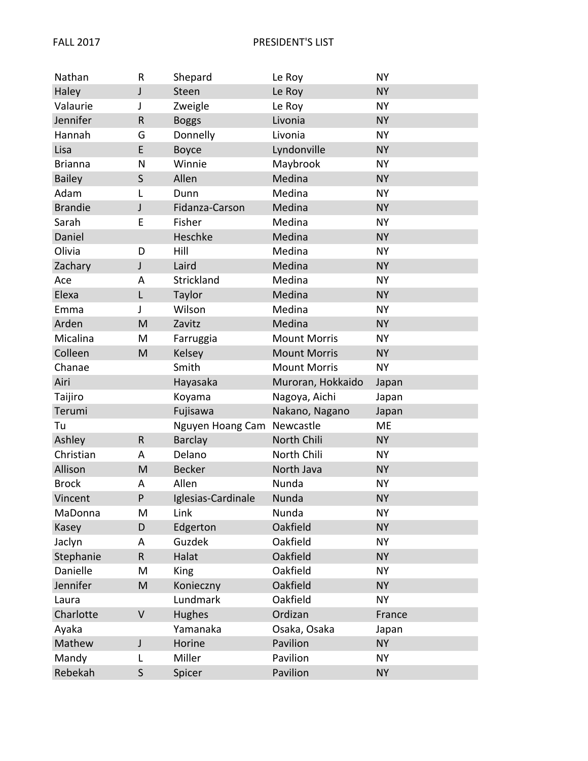| Nathan         | R            | Shepard                    | Le Roy              | <b>NY</b> |
|----------------|--------------|----------------------------|---------------------|-----------|
| Haley          | J            | Steen                      | Le Roy              | <b>NY</b> |
| Valaurie       | J            | Zweigle                    | Le Roy              | <b>NY</b> |
| Jennifer       | $\sf R$      | <b>Boggs</b>               | Livonia             | <b>NY</b> |
| Hannah         | G            | Donnelly                   | Livonia             | <b>NY</b> |
| Lisa           | E            | Boyce                      | Lyndonville         | <b>NY</b> |
| <b>Brianna</b> | N            | Winnie                     | Maybrook            | <b>NY</b> |
| <b>Bailey</b>  | $\mathsf{S}$ | Allen                      | Medina              | <b>NY</b> |
| Adam           | L            | Dunn                       | Medina              | <b>NY</b> |
| <b>Brandie</b> | J            | Fidanza-Carson             | Medina              | <b>NY</b> |
| Sarah          | Е            | Fisher                     | Medina              | <b>NY</b> |
| Daniel         |              | Heschke                    | Medina              | <b>NY</b> |
| Olivia         | D            | Hill                       | Medina              | <b>NY</b> |
| Zachary        | J            | Laird                      | Medina              | <b>NY</b> |
| Ace            | A            | Strickland                 | Medina              | <b>NY</b> |
| Elexa          | L            | Taylor                     | Medina              | <b>NY</b> |
| Emma           | J            | Wilson                     | Medina              | <b>NY</b> |
| Arden          | M            | Zavitz                     | Medina              | <b>NY</b> |
| Micalina       | M            | Farruggia                  | <b>Mount Morris</b> | <b>NY</b> |
| Colleen        | M            | Kelsey                     | <b>Mount Morris</b> | <b>NY</b> |
| Chanae         |              | Smith                      | <b>Mount Morris</b> | <b>NY</b> |
| Airi           |              | Hayasaka                   | Muroran, Hokkaido   | Japan     |
| Taijiro        |              | Koyama                     | Nagoya, Aichi       | Japan     |
| Terumi         |              | Fujisawa                   | Nakano, Nagano      | Japan     |
| Tu             |              | Nguyen Hoang Cam Newcastle |                     | ME        |
| Ashley         | $\mathsf R$  | <b>Barclay</b>             | North Chili         | <b>NY</b> |
| Christian      | A            | Delano                     | North Chili         | <b>NY</b> |
| Allison        | M            | <b>Becker</b>              | North Java          | <b>NY</b> |
| <b>Brock</b>   | A            | Allen                      | Nunda               | <b>NY</b> |
| Vincent        | P            | Iglesias-Cardinale         | Nunda               | <b>NY</b> |
| MaDonna        | M            | Link                       | Nunda               | NΥ        |
| Kasey          | D            | Edgerton                   | Oakfield            | <b>NY</b> |
| Jaclyn         | Α            | Guzdek                     | Oakfield            | <b>NY</b> |
| Stephanie      | R            | Halat                      | Oakfield            | <b>NY</b> |
| Danielle       | M            | King                       | Oakfield            | NΥ        |
| Jennifer       | M            | Konieczny                  | Oakfield            | <b>NY</b> |
| Laura          |              | Lundmark                   | Oakfield            | <b>NY</b> |
| Charlotte      | $\vee$       | Hughes                     | Ordizan             | France    |
| Ayaka          |              | Yamanaka                   | Osaka, Osaka        | Japan     |
| Mathew         | J            | Horine                     | Pavilion            | <b>NY</b> |
| Mandy          | L            | Miller                     | Pavilion            | NΥ        |
| Rebekah        | S            | Spicer                     | Pavilion            | <b>NY</b> |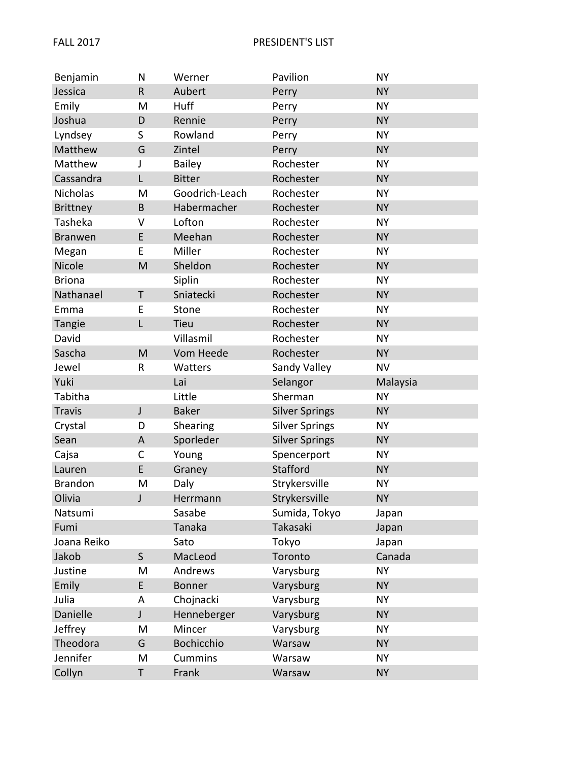| Benjamin        | N            | Werner         | Pavilion              | <b>NY</b> |
|-----------------|--------------|----------------|-----------------------|-----------|
| Jessica         | $\mathsf R$  | Aubert         | Perry                 | <b>NY</b> |
| Emily           | M            | Huff           | Perry                 | <b>NY</b> |
| Joshua          | D            | Rennie         | Perry                 | <b>NY</b> |
| Lyndsey         | S            | Rowland        | Perry                 | <b>NY</b> |
| Matthew         | G            | Zintel         | Perry                 | <b>NY</b> |
| Matthew         | J            | <b>Bailey</b>  | Rochester             | <b>NY</b> |
| Cassandra       | L            | <b>Bitter</b>  | Rochester             | <b>NY</b> |
| Nicholas        | M            | Goodrich-Leach | Rochester             | <b>NY</b> |
| <b>Brittney</b> | B            | Habermacher    | Rochester             | <b>NY</b> |
| Tasheka         | $\vee$       | Lofton         | Rochester             | <b>NY</b> |
| <b>Branwen</b>  | E            | Meehan         | Rochester             | <b>NY</b> |
| Megan           | E            | Miller         | Rochester             | <b>NY</b> |
| Nicole          | M            | Sheldon        | Rochester             | <b>NY</b> |
| <b>Briona</b>   |              | Siplin         | Rochester             | <b>NY</b> |
| Nathanael       | Τ            | Sniatecki      | Rochester             | <b>NY</b> |
| Emma            | E            | Stone          | Rochester             | <b>NY</b> |
| Tangie          | L            | <b>Tieu</b>    | Rochester             | <b>NY</b> |
| David           |              | Villasmil      | Rochester             | <b>NY</b> |
| Sascha          | M            | Vom Heede      | Rochester             | <b>NY</b> |
| Jewel           | R            | Watters        | Sandy Valley          | <b>NV</b> |
| Yuki            |              | Lai            | Selangor              | Malaysia  |
| Tabitha         |              | Little         | Sherman               | <b>NY</b> |
| <b>Travis</b>   | J            | <b>Baker</b>   | <b>Silver Springs</b> | <b>NY</b> |
| Crystal         | D            | Shearing       | <b>Silver Springs</b> | <b>NY</b> |
| Sean            | A            | Sporleder      | <b>Silver Springs</b> | <b>NY</b> |
| Cajsa           | $\mathsf{C}$ | Young          | Spencerport           | NΥ        |
| Lauren          | E            | Graney         | <b>Stafford</b>       | <b>NY</b> |
| <b>Brandon</b>  | M            | Daly           | Strykersville         | <b>NY</b> |
| Olivia          | J            | Herrmann       | Strykersville         | <b>NY</b> |
| Natsumi         |              | Sasabe         | Sumida, Tokyo         | Japan     |
| Fumi            |              | Tanaka         | Takasaki              | Japan     |
| Joana Reiko     |              | Sato           | Tokyo                 | Japan     |
| Jakob           | $\mathsf{S}$ | MacLeod        | Toronto               | Canada    |
| Justine         | Μ            | Andrews        | Varysburg             | <b>NY</b> |
| Emily           | E            | <b>Bonner</b>  | Varysburg             | <b>NY</b> |
| Julia           |              |                |                       |           |
|                 | A            | Chojnacki      | Varysburg             | NΥ        |
| Danielle        | J            | Henneberger    | Varysburg             | <b>NY</b> |
| Jeffrey         | M            | Mincer         | Varysburg             | <b>NY</b> |
| Theodora        | G            | Bochicchio     | Warsaw                | <b>NY</b> |
| Jennifer        | M            | <b>Cummins</b> | Warsaw                | <b>NY</b> |